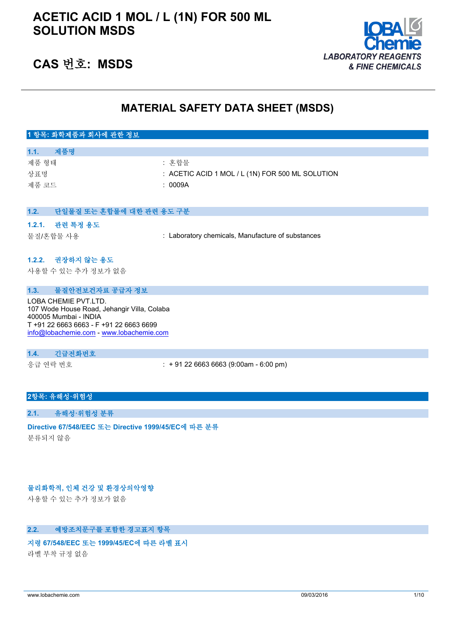

## **CAS 번호: MSDS**

## **MATERIAL SAFETY DATA SHEET (MSDS)**

| 1 항목: 화학제품과 회사에 관한 정보                                                                         |                                                      |
|-----------------------------------------------------------------------------------------------|------------------------------------------------------|
|                                                                                               |                                                      |
| 1.1.<br>제품명                                                                                   |                                                      |
| 제품 형태                                                                                         | : 혼합물                                                |
| 상표명                                                                                           | $\pm$ ACETIC ACID 1 MOL / L (1N) FOR 500 ML SOLUTION |
| 제품 코드                                                                                         | : 0009A                                              |
|                                                                                               |                                                      |
| 1.2.<br>단일물질 또는 혼합물에 대한 관련 용도 구분                                                              |                                                      |
| $\rightarrow$ $\rightarrow$ $\rightarrow$ $\rightarrow$ $\rightarrow$<br>$\sim$ $\sim$ $\sim$ |                                                      |

#### **1.2.1. 관련 특정 용도**

물질/혼합물 사용 : Laboratory chemicals, Manufacture of substances

#### **1.2.2. 권장하지 않는 용도**

사용할 수 있는 추가 정보가 없음

#### **1.3. 물질안전보건자료 공급자 정보**

LOBA CHEMIE PVT.LTD. 107 Wode House Road, Jehangir Villa, Colaba 400005 Mumbai - INDIA T +91 22 6663 6663 - F +91 22 6663 6699 [info@lobachemie.com](mailto:info@lobachemie.com) - <www.lobachemie.com>

#### **1.4. 긴급전화번호**

응급 연락 번호 : + 91 22 6663 6663 (9:00am - 6:00 pm)

#### **2항목: 유해성·위험성**

#### **2.1. 유해성·위험성 분류**

**Directive 67/548/EEC 또는 Directive 1999/45/EC에 따른 분류** 분류되지 않음

### **물리화학적, 인체 건강 및 환경상의악영향**

사용할 수 있는 추가 정보가 없음

#### **2.2. 예방조치문구를 포함한 경고표지 항목**

#### **지령 67/548/EEC 또는 1999/45/EC에 따른 라벨 표시**

라벨 부착 규정 없음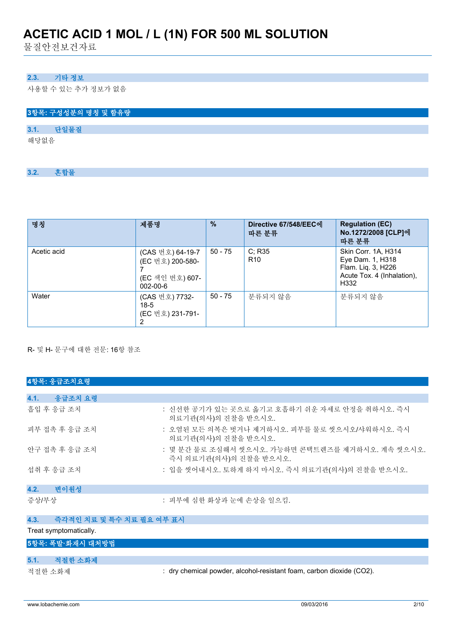물질안전보건자료

## **2.3. 기타 정보**

사용할 수 있는 추가 정보가 없음

|      |      | 3항목: 구성성분의 명칭 및 함유량 |  |  |  |  |  |
|------|------|---------------------|--|--|--|--|--|
|      |      |                     |  |  |  |  |  |
| 3.1. | 단일물질 |                     |  |  |  |  |  |
| 해당없음 |      |                     |  |  |  |  |  |
|      |      |                     |  |  |  |  |  |

**3.2. 혼합물**

| 명칭          | 제품명                                                                       | $\frac{9}{6}$ | Directive 67/548/EEC에<br>따른 분류 | <b>Regulation (EC)</b><br>No.1272/2008 [CLP]에<br>따른 분류                                              |
|-------------|---------------------------------------------------------------------------|---------------|--------------------------------|-----------------------------------------------------------------------------------------------------|
| Acetic acid | (CAS 번호) 64-19-7<br>(EC 번호) 200-580-<br>(EC 색인 번호) 607-<br>$002 - 00 - 6$ | $50 - 75$     | C: R35<br>R <sub>10</sub>      | Skin Corr. 1A, H314<br>Eye Dam. 1, H318<br>Flam. Liq. 3, H226<br>Acute Tox. 4 (Inhalation),<br>H332 |
| Water       | (CAS 번호) 7732-<br>$18-5$<br>(EC 번호) 231-791-<br>2                         | $50 - 75$     | 분류되지 않음                        | 분류되지 않음                                                                                             |

R- 및 H- 문구에 대한 전문: 16항 참조

| 4항목: 응급조치요령                      |                                                                            |
|----------------------------------|----------------------------------------------------------------------------|
|                                  |                                                                            |
| 4.1.<br>응급조치 요령                  |                                                                            |
| 흡입 후 응급 조치                       | : 신선한 공기가 있는 곳으로 옮기고 호흡하기 쉬운 자세로 안정을 취하시오. 즉시<br>의료기관(의사)의 진찰을 받으시오.       |
| 피부 접촉 후 응급 조치                    | : 오염된 모든 의복은 벗거나 제거하시오. 피부를 물로 씻으시오/샤워하시오. 즉시<br>의료기관(의사)의 진찰을 받으시오.       |
| 안구 접촉 후 응급 조치                    | : 몇 분간 물로 조심해서 씻으시오. 가능하면 콘택트렌즈를 제거하시오. 계속 씻으시오.<br>즉시 의료기관(의사)의 진찰을 받으시오. |
| 섭취 후 응급 조치                       | : 입을 씻어내시오. 토하게 하지 마시오. 즉시 의료기관(의사)의 진찰을 받으시오.                             |
| 4.2.<br>변이원성                     |                                                                            |
| 증상/부상                            | : 피부에 심한 화상과 눈에 손상을 일으킴.                                                   |
| 4.3.<br>즉각적인 치료 및 특수 치료 필요 여부 표시 |                                                                            |

Treat symptomatically.

| 5항목: 폭발·화재시 대처방법 |  |
|------------------|--|
|                  |  |

| 5.1.    | 적절한 소화제 |                                                                      |
|---------|---------|----------------------------------------------------------------------|
| 적절한 소화제 |         | : dry chemical powder, alcohol-resistant foam, carbon dioxide (CO2). |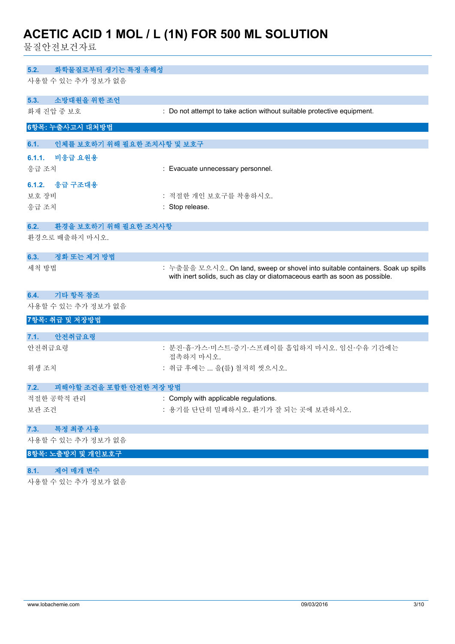물질안전보건자료

| 화학물질로부터 생기는 특정 유해성<br>5.2.         |                                                                                                                                                              |
|------------------------------------|--------------------------------------------------------------------------------------------------------------------------------------------------------------|
| 사용할 수 있는 추가 정보가 없음                 |                                                                                                                                                              |
| 소방대원을 위한 조언<br>5.3.                |                                                                                                                                                              |
| 화재 진압 중 보호                         | : Do not attempt to take action without suitable protective equipment.                                                                                       |
| 6항목: 누출사고시 대처방법                    |                                                                                                                                                              |
| 인체를 보호하기 위해 필요한 조치사항 및 보호구<br>6.1. |                                                                                                                                                              |
| 6.1.1.<br>비응급 요원용                  |                                                                                                                                                              |
| 응급 조치                              | : Evacuate unnecessary personnel.                                                                                                                            |
| 6.1.2. 응급 구조대용                     |                                                                                                                                                              |
| 보호 장비                              | : 적절한 개인 보호구를 착용하시오.                                                                                                                                         |
| 응급 조치                              | : Stop release.                                                                                                                                              |
| 환경을 보호하기 위해 필요한 조치사항<br>6.2.       |                                                                                                                                                              |
| 환경으로 배출하지 마시오.                     |                                                                                                                                                              |
| 정화 또는 제거 방법<br>6.3.                |                                                                                                                                                              |
| 세척 방법                              | : 누출물을 모으시오. On land, sweep or shovel into suitable containers. Soak up spills<br>with inert solids, such as clay or diatomaceous earth as soon as possible. |
| 기타 항목 참조<br>6.4.                   |                                                                                                                                                              |
| 사용할 수 있는 추가 정보가 없음                 |                                                                                                                                                              |
| 7항목: 취급 및 저장방법                     |                                                                                                                                                              |
| 안전취급요령<br>7.1.                     |                                                                                                                                                              |
| 안전취급요령                             | : 분진·흄·가스·미스트·증기·스프레이를 흡입하지 마시오. 임신·수유 기간에는<br>접촉하지 마시오.                                                                                                     |
| 위생 조치                              | : 취급 후에는  을(를) 철저히 씻으시오.                                                                                                                                     |
| 피해야할 조건을 포함한 안전한 저장 방법<br>7.2.     |                                                                                                                                                              |
| 적절한 공학적 관리                         | : Comply with applicable regulations.                                                                                                                        |
| 보관 조건                              | : 용기를 단단히 밀폐하시오. 환기가 잘 되는 곳에 보관하시오.                                                                                                                          |
|                                    |                                                                                                                                                              |
| 특정 최종 사용<br>7.3.                   |                                                                                                                                                              |
| 사용할 수 있는 추가 정보가 없음                 |                                                                                                                                                              |
| 8항목: 노출방지 및 개인보호구                  |                                                                                                                                                              |
| 제어 매개 변수<br>8.1.                   |                                                                                                                                                              |
| 사용할 수 있는 추가 정보가 없음                 |                                                                                                                                                              |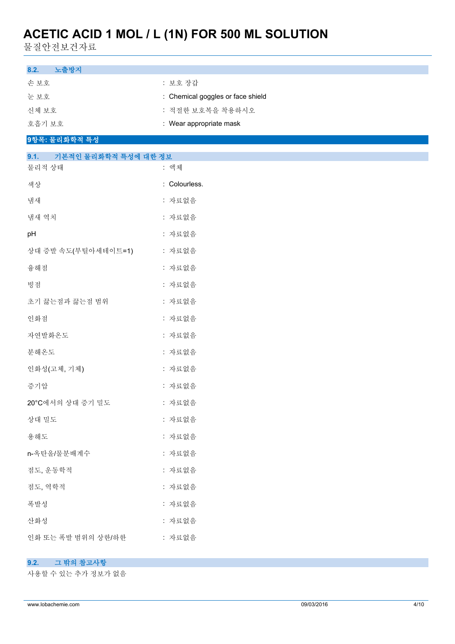물질안전보건자료

| 8.2.<br>노출방지                           |                                   |
|----------------------------------------|-----------------------------------|
| 손보호                                    | : 보호 장갑                           |
| 눈보호                                    | : Chemical goggles or face shield |
| 신체 보호                                  | : 적절한 보호복을 착용하시오                  |
| 호흡기 보호                                 | : Wear appropriate mask           |
| 9항목: 물리화학적 특성                          |                                   |
| 기본적인 물리화학적 특성에 대한 정보<br>9.1.<br>물리적 상태 | : 액체                              |
| 색상                                     | : Colourless.                     |
| 냄새                                     | : 자료없음                            |
| 냄새 역치                                  | : 자료없음                            |
| pH                                     | : 자료없음                            |
| 상대 증발 속도(부틸아세테이트=1)                    | : 자료없음                            |
| 융해점                                    | : 자료없음                            |
| 빙점                                     | : 자료없음                            |
| 초기 끓는점과 끓는점 범위                         | : 자료없음                            |
| 인화점                                    | : 자료없음                            |
| 자연발화온도                                 | : 자료없음                            |
| 분해온도                                   | : 자료없음                            |
| 인화성(고체, 기체)                            | : 자료없음                            |
| 증기압                                    | : 자료없음                            |
| 20°C에서의 상대 증기 밀도                       | : 자료없음                            |
| 상대 밀도                                  | : 자료없음                            |
| 용해도                                    | : 자료없음                            |
| n-옥탄올/물분배계수                            | : 자료없음                            |
| 점도, 운동학적                               | : 자료없음                            |
| 점도, 역학적                                | : 자료없음                            |
| 폭발성                                    | : 자료없음                            |
| 산화성                                    | : 자료없음                            |
| 인화 또는 폭발 범위의 상한/하한                     | : 자료없음                            |

## **9.2. 그 밖의 참고사항**

사용할 수 있는 추가 정보가 없음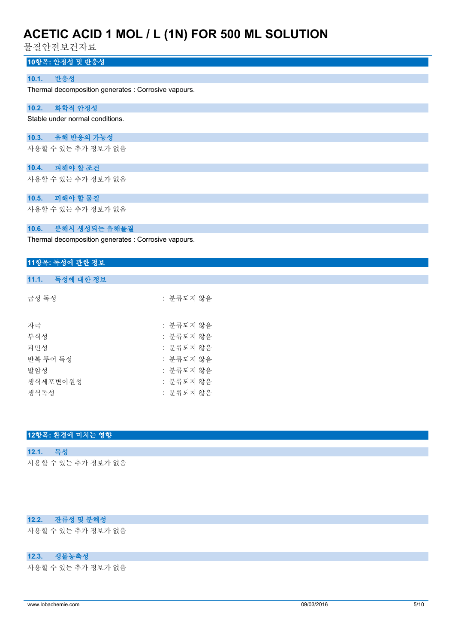물질안전보건자료

## **10항목: 안정성 및 반응성**

### **10.1. 반응성**

Thermal decomposition generates : Corrosive vapours.

## **10.2. 화학적 안정성**

Stable under normal conditions.

#### **10.3. 유해 반응의 가능성**

사용할 수 있는 추가 정보가 없음

## **10.4. 피해야 할 조건**

사용할 수 있는 추가 정보가 없음

## **10.5. 피해야 할 물질**

사용할 수 있는 추가 정보가 없음

#### **10.6. 분해시 생성되는 유해물질**

Thermal decomposition generates : Corrosive vapours.

### **11항목: 독성에 관한 정보**

#### **11.1. 독성에 대한 정보**

| 급성 독성    | : 분류되지 않음 |
|----------|-----------|
|          |           |
| 자극       | : 분류되지 않음 |
| 부식성      | : 분류되지 않음 |
| 과민성      | : 분류되지 않음 |
| 반복 투여 독성 | : 분류되지 않음 |
| 발암성      | : 분류되지 않음 |
| 생식세포변이워성 | : 분류되지 않음 |
| 생식독성     | : 분류되지 않음 |

### **12항목: 환경에 미치는 영향**

## **12.1. 독성** 사용할 수 있는 추가 정보가 없음

#### **12.2. 잔류성 및 분해성**

사용할 수 있는 추가 정보가 없음

#### **12.3. 생물농축성**

사용할 수 있는 추가 정보가 없음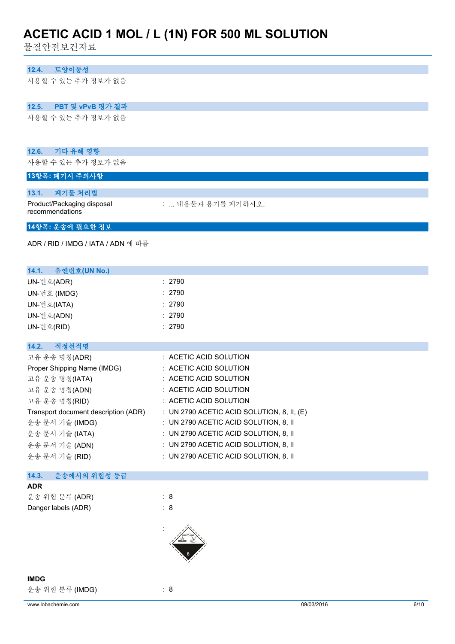물질안전보건자료

## **12.4. 토양이동성**

사용할 수 있는 추가 정보가 없음

## **12.5. PBT 및 vPvB 평가 결과**

사용할 수 있는 추가 정보가 없음

#### **12.6. 기타 유해 영향**

사용할 수 있는 추가 정보가 없음

## **13항목: 폐기시 주의사항**

#### **13.1. 폐기물 처리법**

Product/Packaging disposal recommendations

: ... 내용물과 용기를 폐기하시오.

## **14항목: 운송에 필요한 정보**

ADR / RID / IMDG / IATA / ADN 에 따름

| 14.1. 유엔번호(UN No.)                   |                                              |
|--------------------------------------|----------------------------------------------|
| UN-번호(ADR)                           | : 2790                                       |
| UN-번호 (IMDG)                         | : 2790                                       |
| UN-번호(IATA)                          | : 2790                                       |
| UN-번호(ADN)                           | : 2790                                       |
| UN-번호(RID)                           | : 2790                                       |
|                                      |                                              |
| 14.2.<br>적정선적명                       |                                              |
| 고유 운송 명칭(ADR)                        | $\therefore$ ACETIC ACID SOLUTION            |
| Proper Shipping Name (IMDG)          | : ACETIC ACID SOLUTION                       |
| 고유 운송 명칭(IATA)                       | $\therefore$ ACETIC ACID SOLUTION            |
| 고유 운송 명칭(ADN)                        | $\therefore$ ACETIC ACID SOLUTION            |
| 고유 운송 명칭(RID)                        | $\therefore$ ACETIC ACID SOLUTION            |
| Transport document description (ADR) | : UN 2790 ACETIC ACID SOLUTION, 8, II, $(E)$ |
| 운송 문서 기술 (IMDG)                      | $\pm$ UN 2790 ACETIC ACID SOLUTION, 8, II    |
| 운송 문서 기술 (IATA)                      | $\pm$ UN 2790 ACETIC ACID SOLUTION, 8, II    |
| 운송 문서 기술 (ADN)                       | $\pm$ UN 2790 ACETIC ACID SOLUTION, 8, II    |
| 운송 문서 기술 (RID)                       | $\pm$ UN 2790 ACETIC ACID SOLUTION, 8, II    |
|                                      |                                              |

#### **14.3. 운송에서의 위험성 등급**

**ADR**

운송 위험 분류 (ADR) : 8 Danger labels (ADR) : 8





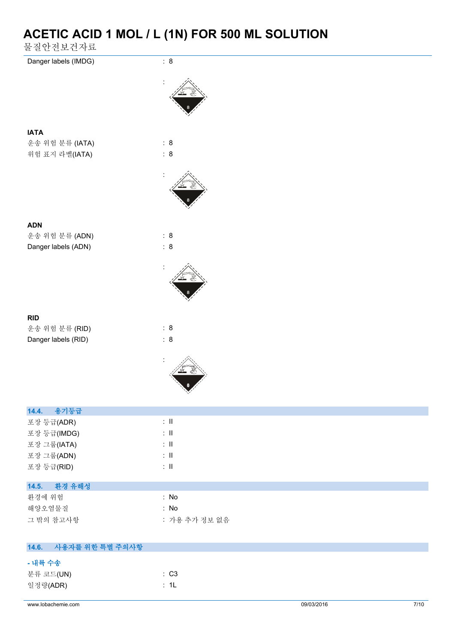물질안전보건자료

| Danger labels (IMDG)      | : 8                            |            |        |
|---------------------------|--------------------------------|------------|--------|
|                           |                                |            |        |
| <b>IATA</b>               |                                |            |        |
| 운송 위험 분류 (IATA)           | : 8                            |            |        |
| 위험 표지 라벨(IATA)            | : 8                            |            |        |
|                           |                                |            |        |
| <b>ADN</b>                |                                |            |        |
| 운송 위험 분류 (ADN)            | : 8                            |            |        |
| Danger labels (ADN)       | : 8                            |            |        |
|                           |                                |            |        |
| <b>RID</b>                |                                |            |        |
| 운송 위험 분류 (RID)            | : 8                            |            |        |
| Danger labels (RID)       | : 8                            |            |        |
|                           |                                |            |        |
| 용기등급<br>14.4.             |                                |            |        |
| 포장 등급(ADR)                | $\lesssim 11$                  |            |        |
| 포장 등급(IMDG)               | $\lesssim 11$                  |            |        |
| 포장 그룹(IATA)<br>포장 그룹(ADN) | $\lesssim 11$<br>$\lesssim 11$ |            |        |
| 포장 등급(RID)                | $\div$ II                      |            |        |
|                           |                                |            |        |
| 환경 유해성<br>14.5.           | : No                           |            |        |
| 환경에 위험<br>해양오염물질          | : No                           |            |        |
| 그 밖의 참고사항                 | : 가용 추가 정보 없음                  |            |        |
|                           |                                |            |        |
| 14.6.<br>사용자를 위한 특별 주의사항  |                                |            |        |
| - 내륙 수송                   |                                |            |        |
| 분류 코드(UN)                 | : C3                           |            |        |
| 일정량(ADR)                  | : 1L                           |            |        |
| www.lobachemie.com        |                                | 09/03/2016 | $7/10$ |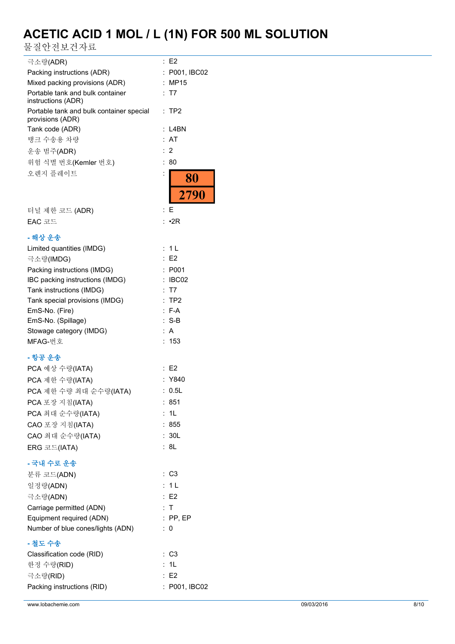물질안전보건자료

| 힘 열 한 안 되 산 시 프                                              |                |
|--------------------------------------------------------------|----------------|
| 극소량(ADR)                                                     | : E2           |
| Packing instructions (ADR)                                   | : P001, IBC02  |
| Mixed packing provisions (ADR)                               | : MP15         |
| Portable tank and bulk container                             | : T7           |
| instructions (ADR)                                           |                |
| Portable tank and bulk container special<br>provisions (ADR) | $:$ TP2        |
| Tank code (ADR)                                              | : L4BN         |
| 탱크 수송용 차량                                                    | : AT           |
| 운송 범주(ADR)                                                   | :2             |
| 위험 식별 번호(Kemler 번호)                                          | : 80           |
| 오렌지 플레이트                                                     | $\ddot{\cdot}$ |
|                                                              | 80             |
|                                                              | 2790           |
|                                                              |                |
| 터널 제한 코드 (ADR)                                               | : E            |
| EAC 코드                                                       | : •2R          |
| - 해상 운송                                                      |                |
| Limited quantities (IMDG)                                    | : 1L           |
| 극소량(IMDG)                                                    | E2             |
| Packing instructions (IMDG)                                  | : P001         |
| IBC packing instructions (IMDG)                              | IBC02          |
| Tank instructions (IMDG)                                     | <b>T7</b>      |
| Tank special provisions (IMDG)                               | TP2            |
| EmS-No. (Fire)                                               | $F-A$          |
| EmS-No. (Spillage)                                           | $: S-B$        |
| Stowage category (IMDG)                                      | A              |
| MFAG-번호                                                      | 153            |
| - 항공 운송                                                      |                |
| PCA 예상 수량(IATA)                                              | : E2           |
| PCA 제한 수량(IATA)                                              | : Y840         |
| PCA 제한 수량 최대 순수량(IATA)                                       | : 0.5L         |
|                                                              | : 851          |
| PCA 포장 지침(IATA)                                              |                |
| PCA 최대 순수량(IATA)                                             | : 1L           |
| CAO 포장 지침(IATA)                                              | : 855          |
| CAO 최대 순수량(IATA)                                             | : 30L          |
| ERG 코드(IATA)                                                 | : 8L           |
| - 국내 수로 운송                                                   |                |
| 분류 코드(ADN)                                                   | : C3           |
| 일정량(ADN)                                                     | : 1 L          |
| 극소량(ADN)                                                     | E2             |
| Carriage permitted (ADN)                                     | : T            |
| Equipment required (ADN)                                     | $:$ PP, EP     |
| Number of blue cones/lights (ADN)                            | $\therefore$ 0 |
| - 철도 수송                                                      |                |
|                                                              | : C3           |
| Classification code (RID)<br>한정 수량(RID)                      | : 1L           |
| 극소량(RID)                                                     | : E2           |
| Packing instructions (RID)                                   | : P001, IBC02  |
|                                                              |                |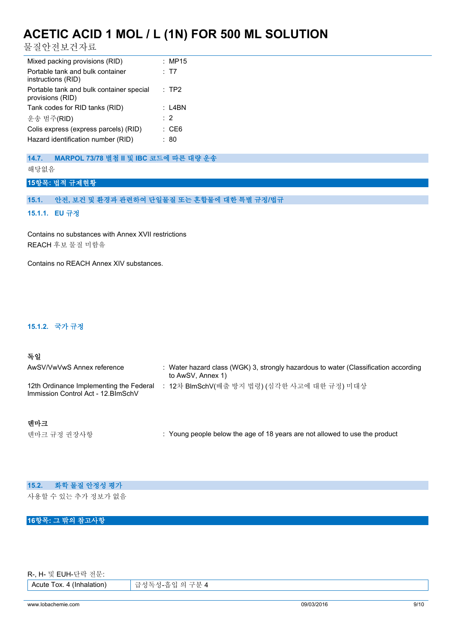물질안전보건자료

| Mixed packing provisions (RID)                                              | : MP15        |
|-----------------------------------------------------------------------------|---------------|
| Portable tank and bulk container<br>instructions (RID)                      | : T7          |
| Portable tank and bulk container special<br>provisions (RID)                | :TP2          |
| Tank codes for RID tanks (RID)                                              | :I 4BN        |
| 운송 범주(RID)                                                                  | $\cdot$ 2     |
| Colis express (express parcels) (RID)<br>Hazard identification number (RID) | : CE6<br>: 80 |

### **14.7. MARPOL 73/78 별첨 II 및 IBC 코드에 따른 대량 운송**

해당없음

**15항목: 법적 규제현황**

### **15.1. 안전, 보건 및 환경과 관련하여 단일물질 또는 혼합물에 대한 특별 규정/법규**

**15.1.1. EU 규정**

Contains no substances with Annex XVII restrictions REACH 후보 물질 미함유

Contains no REACH Annex XIV substances.

#### **15.1.2. 국가 규정**

#### **독일**

| AwSV/VwVwS Annex reference                                                     | Water hazard class (WGK) 3, strongly hazardous to water (Classification according<br>to AwSV, Annex 1) |
|--------------------------------------------------------------------------------|--------------------------------------------------------------------------------------------------------|
| 12th Ordinance Implementing the Federal<br>Immission Control Act - 12. BlmSchV | 12차 BlmSchV(배출 방지 법령) (심각한 사고에 대한 규정) 미대상                                                              |

### **덴마크**

텐마크 규정 권장사항 **: Young people below the age of 18 years are not allowed to use the product** 

| 15.2. 화학 물질 안정성 평가 |
|--------------------|
| 사용할 수 있는 추가 정보가 없음 |

## **16항목: 그 밖의 참고사항**

R-, H- 및 EUH-단락 전문:

Acute Tox. 4 (Inhalation) 급성독성-흡입 의 구분 4